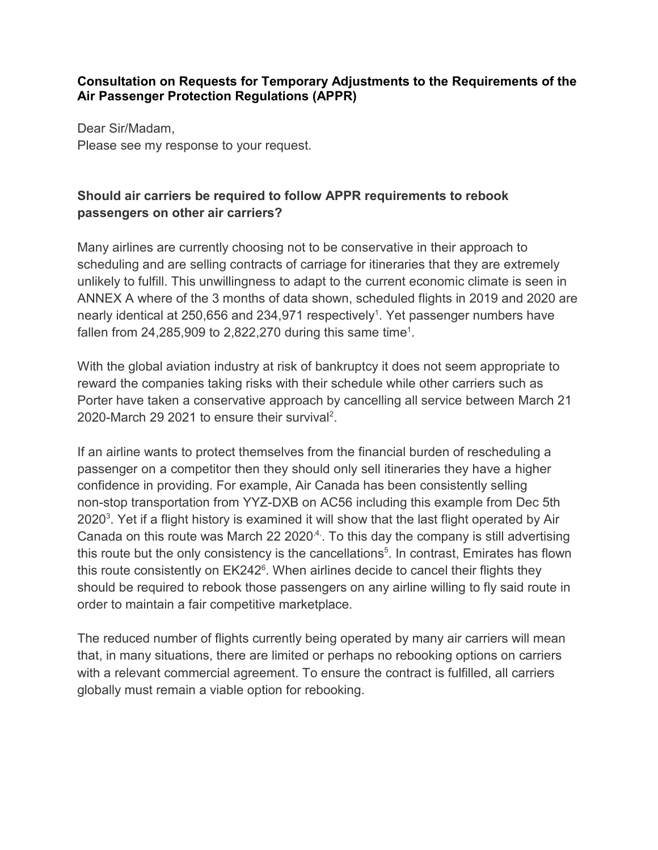#### **Consultation on Requests for Temporary Adjustments to the Requirements of the Air Passenger Protection Regulations (APPR)**

Dear Sir/Madam, Please see my response to your request.

## **Should air carriers be required to follow APPR requirements to rebook passengers on other air carriers?**

Many airlines are currently choosing not to be conservative in their approach to scheduling and are selling contracts of carriage for itineraries that they are extremely unlikely to fulfill. This unwillingness to adapt to the current economic climate is seen in ANNEX A where of the 3 months of data shown, scheduled flights in 2019 and 2020 are nearly identical at 250,656 and 234,971 respectively<sup>1</sup>. Yet passenger numbers have fallen from 24,285,909 to 2,822,270 during this same time $^{\rm 1}.$ 

With the global aviation industry at risk of bankruptcy it does not seem appropriate to reward the companies taking risks with their schedule while other carriers such as Porter have taken a conservative approach by cancelling all service between March 21 2020-March 29 2021 to ensure their survival<sup>2</sup>.

If an airline wants to protect themselves from the financial burden of rescheduling a passenger on a competitor then they should only sell itineraries they have a higher confidence in providing. For example, Air Canada has been consistently selling non-stop transportation from YYZ-DXB on AC56 including this example from Dec 5th 2020 $^3$ . Yet if a flight history is examined it will show that the last flight operated by Air Canada on this route was March 22 2020 $4$ . To this day the company is still advertising this route but the only consistency is the cancellations $^5$ . In contrast, Emirates has flown this route consistently on  $EK242^{\circ}$ . When airlines decide to cancel their flights they should be required to rebook those passengers on any airline willing to fly said route in order to maintain a fair competitive marketplace.

The reduced number of flights currently being operated by many air carriers will mean that, in many situations, there are limited or perhaps no rebooking options on carriers with a relevant commercial agreement. To ensure the contract is fulfilled, all carriers globally must remain a viable option for rebooking.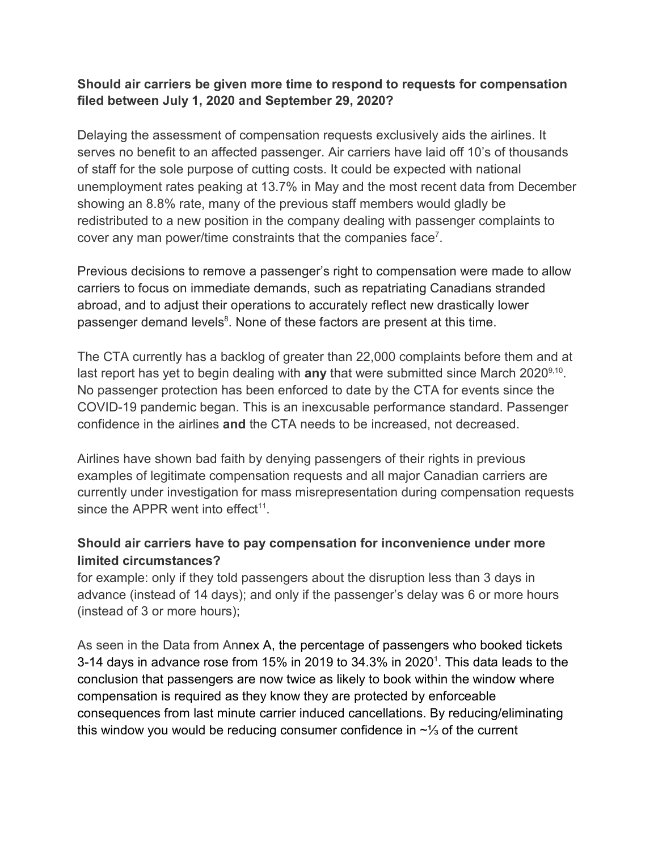### **Should air carriers be given more time to respond to requests for compensation filed between July 1, 2020 and September 29, 2020?**

Delaying the assessment of compensation requests exclusively aids the airlines. It serves no benefit to an affected passenger. Air carriers have laid off 10's of thousands of staff for the sole purpose of cutting costs. It could be expected with national unemployment rates peaking at 13.7% in May and the most recent data from December showing an 8.8% rate, many of the previous staff members would gladly be redistributed to a new position in the company dealing with passenger complaints to cover any man power/time constraints that the companies face<sup>7</sup>.

Previous decisions to remove a passenger's right to compensation were made to allow carriers to focus on immediate demands, such as repatriating Canadians stranded abroad, and to adjust their operations to accurately reflect new drastically lower passenger demand levels $^{\rm 8}$ . None of these factors are present at this time.

The CTA currently has a backlog of greater than 22,000 complaints before them and at last report has yet to begin dealing with **any** that were submitted since March 2020<sup>9,10</sup>. No passenger protection has been enforced to date by the CTA for events since the COVID-19 pandemic began. This is an inexcusable performance standard. Passenger confidence in the airlines **and** the CTA needs to be increased, not decreased.

Airlines have shown bad faith by denying passengers of their rights in previous examples of legitimate compensation requests and all major Canadian carriers are currently under investigation for mass misrepresentation during compensation requests since the APPR went into effect<sup>11</sup>.

# **Should air carriers have to pay compensation for inconvenience under more limited circumstances?**

for example: only if they told passengers about the disruption less than 3 days in advance (instead of 14 days); and only if the passenger's delay was 6 or more hours (instead of 3 or more hours);

As seen in the Data from Annex A, the percentage of passengers who booked tickets 3-14 days in advance rose from 15% in 2019 to 34.3% in 2020 $^\text{\tiny 1}$ . This data leads to the conclusion that passengers are now twice as likely to book within the window where compensation is required as they know they are protected by enforceable consequences from last minute carrier induced cancellations. By reducing/eliminating this window you would be reducing consumer confidence in ~⅓ of the current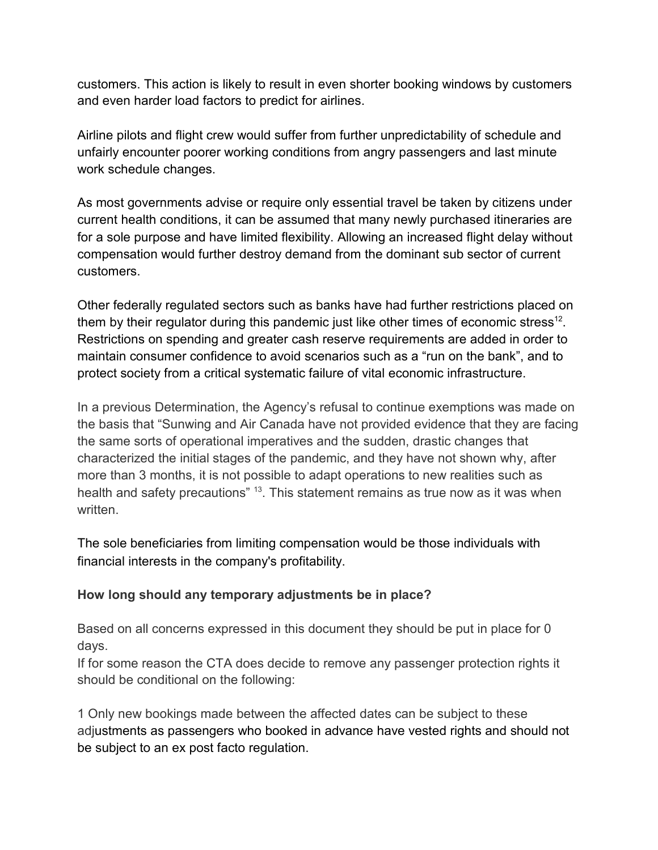customers. This action is likely to result in even shorter booking windows by customers and even harder load factors to predict for airlines.

Airline pilots and flight crew would suffer from further unpredictability of schedule and unfairly encounter poorer working conditions from angry passengers and last minute work schedule changes.

As most governments advise or require only essential travel be taken by citizens under current health conditions, it can be assumed that many newly purchased itineraries are for a sole purpose and have limited flexibility. Allowing an increased flight delay without compensation would further destroy demand from the dominant sub sector of current customers.

Other federally regulated sectors such as banks have had further restrictions placed on them by their regulator during this pandemic just like other times of economic stress<sup>12</sup>. Restrictions on spending and greater cash reserve requirements are added in order to maintain consumer confidence to avoid scenarios such as a "run on the bank", and to protect society from a critical systematic failure of vital economic infrastructure.

In a previous Determination, the Agency's refusal to continue exemptions was made on the basis that "Sunwing and Air Canada have not provided evidence that they are facing the same sorts of operational imperatives and the sudden, drastic changes that characterized the initial stages of the pandemic, and they have not shown why, after more than 3 months, it is not possible to adapt operations to new realities such as health and safety precautions" <sup>13</sup>. This statement remains as true now as it was when written.

The sole beneficiaries from limiting compensation would be those individuals with financial interests in the company's profitability.

#### **How long should any temporary adjustments be in place?**

Based on all concerns expressed in this document they should be put in place for 0 days.

If for some reason the CTA does decide to remove any passenger protection rights it should be conditional on the following:

1 Only new bookings made between the affected dates can be subject to these adjustments as passengers who booked in advance have vested rights and should not be subject to an ex post facto regulation.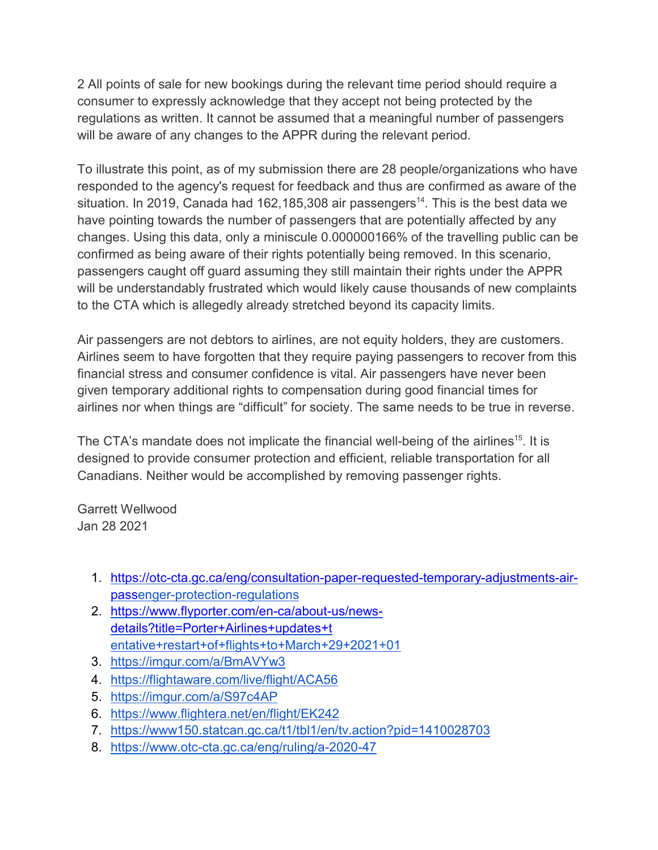2 All points of sale for new bookings during the relevant time period should require a consumer to expressly acknowledge that they accept not being protected by the regulations as written. It cannot be assumed that a meaningful number of passengers will be aware of any changes to the APPR during the relevant period.

To illustrate this point, as of my submission there are 28 people/organizations who have responded to the agency's request for feedback and thus are confirmed as aware of the situation. In 2019, Canada had 162,185,308 air passengers<sup>14</sup>. This is the best data we have pointing towards the number of passengers that are potentially affected by any changes. Using this data, only a miniscule 0.000000166% of the travelling public can be confirmed as being aware of their rights potentially being removed. In this scenario, passengers caught off guard assuming they still maintain their rights under the APPR will be understandably frustrated which would likely cause thousands of new complaints to the CTA which is allegedly already stretched beyond its capacity limits.

Air passengers are not debtors to airlines, are not equity holders, they are customers. Airlines seem to have forgotten that they require paying passengers to recover from this financial stress and consumer confidence is vital. Air passengers have never been given temporary additional rights to compensation during good financial times for airlines nor when things are "difficult" for society. The same needs to be true in reverse.

The CTA's mandate does not implicate the financial well-being of the airlines<sup>15</sup>. It is designed to provide consumer protection and efficient, reliable transportation for all Canadians. Neither would be accomplished by removing passenger rights.

Garrett Wellwood Jan 28 2021

- 1. [https://otc-cta.gc.ca/eng/consultation-paper-requested-temporary-adjustments-air](https://otc-cta.gc.ca/eng/consultation-paper-requested-temporary-adjustments-air-pass)[pass](https://otc-cta.gc.ca/eng/consultation-paper-requested-temporary-adjustments-air-pass)[enger-protection-regulations](https://otc-cta.gc.ca/eng/consultation-paper-requested-temporary-adjustments-air-passenger-protection-regulations)
- 2. [https://www.flyporter.com/en-ca/about-us/news](https://www.flyporter.com/en-ca/about-us/news-details?title=Porter+Airlines+updates+t)[details?title=Porter+Airlines+updates+t](https://www.flyporter.com/en-ca/about-us/news-details?title=Porter+Airlines+updates+t) [entative+restart+of+flights+to+March+29+2021+01](https://www.flyporter.com/en-ca/about-us/news-details?title=Porter%2BAirlines%2Bupdates%2Btentative%2Brestart%2Bof%2Bflights%2Bto%2BMarch%2B29%2B2021%2B01)
- 3. <https://imgur.com/a/BmAVYw3>
- 4. <https://flightaware.com/live/flight/ACA56>
- 5. <https://imgur.com/a/S97c4AP>
- 6. <https://www.flightera.net/en/flight/EK242>
- 7. <https://www150.statcan.gc.ca/t1/tbl1/en/tv.action?pid=1410028703>
- 8. <https://www.otc-cta.gc.ca/eng/ruling/a-2020-47>